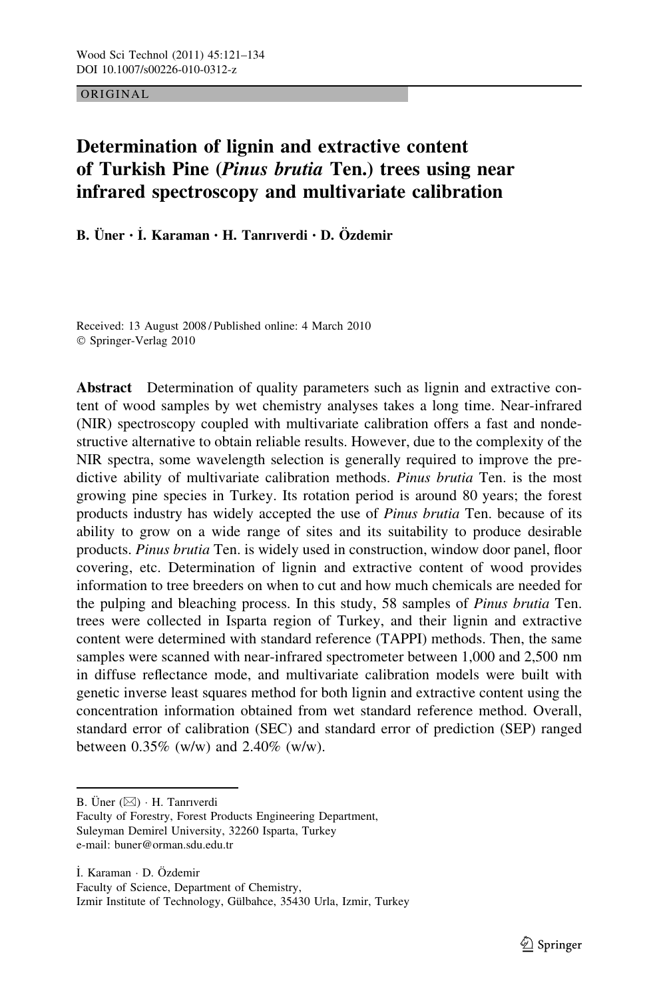#### ORIGINAL

# Determination of lignin and extractive content of Turkish Pine (Pinus brutia Ten.) trees using near infrared spectroscopy and multivariate calibration

B. Üner • İ. Karaman • H. Tanrıverdi • D. Özdemir

Received: 13 August 2008 / Published online: 4 March 2010 © Springer-Verlag 2010

Abstract Determination of quality parameters such as lignin and extractive content of wood samples by wet chemistry analyses takes a long time. Near-infrared (NIR) spectroscopy coupled with multivariate calibration offers a fast and nondestructive alternative to obtain reliable results. However, due to the complexity of the NIR spectra, some wavelength selection is generally required to improve the predictive ability of multivariate calibration methods. Pinus brutia Ten. is the most growing pine species in Turkey. Its rotation period is around 80 years; the forest products industry has widely accepted the use of Pinus brutia Ten. because of its ability to grow on a wide range of sites and its suitability to produce desirable products. Pinus brutia Ten. is widely used in construction, window door panel, floor covering, etc. Determination of lignin and extractive content of wood provides information to tree breeders on when to cut and how much chemicals are needed for the pulping and bleaching process. In this study, 58 samples of Pinus brutia Ten. trees were collected in Isparta region of Turkey, and their lignin and extractive content were determined with standard reference (TAPPI) methods. Then, the same samples were scanned with near-infrared spectrometer between 1,000 and 2,500 nm in diffuse reflectance mode, and multivariate calibration models were built with genetic inverse least squares method for both lignin and extractive content using the concentration information obtained from wet standard reference method. Overall, standard error of calibration (SEC) and standard error of prediction (SEP) ranged between  $0.35\%$  (w/w) and  $2.40\%$  (w/w).

B. Üner (⊠) · H. Tanrıverdi

Faculty of Forestry, Forest Products Engineering Department, Suleyman Demirel University, 32260 Isparta, Turkey e-mail: buner@orman.sdu.edu.tr

İ. Karaman · D. Özdemir Faculty of Science, Department of Chemistry, Izmir Institute of Technology, Gülbahce, 35430 Urla, Izmir, Turkey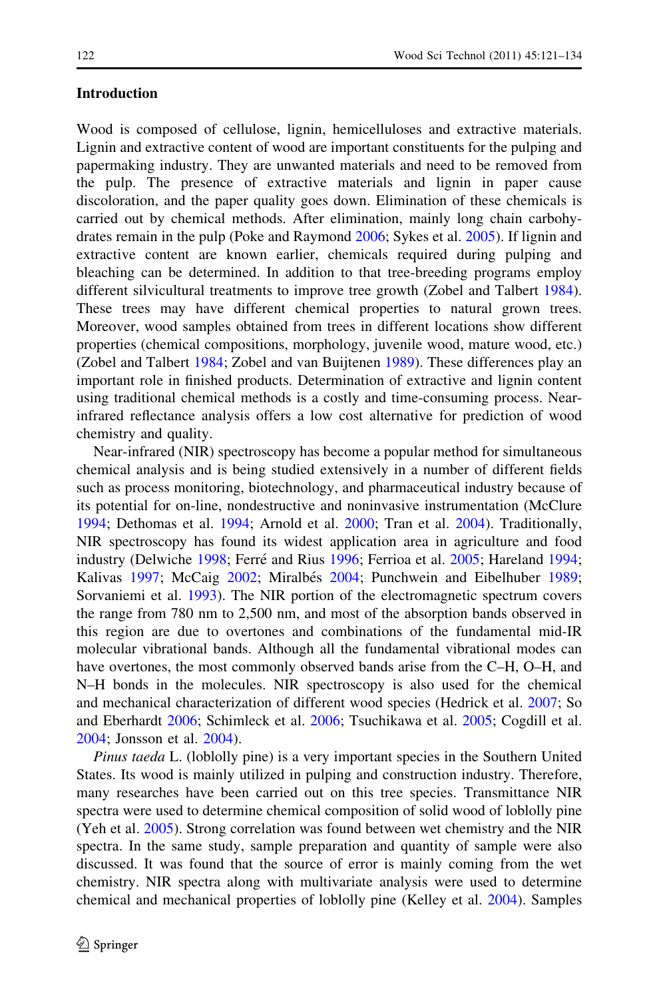#### Introduction

Wood is composed of cellulose, lignin, hemicelluloses and extractive materials. Lignin and extractive content of wood are important constituents for the pulping and papermaking industry. They are unwanted materials and need to be removed from the pulp. The presence of extractive materials and lignin in paper cause discoloration, and the paper quality goes down. Elimination of these chemicals is carried out by chemical methods. After elimination, mainly long chain carbohydrates remain in the pulp (Poke and Raymond [2006](#page-13-0); Sykes et al. [2005\)](#page-13-0). If lignin and extractive content are known earlier, chemicals required during pulping and bleaching can be determined. In addition to that tree-breeding programs employ different silvicultural treatments to improve tree growth (Zobel and Talbert [1984\)](#page-13-0). These trees may have different chemical properties to natural grown trees. Moreover, wood samples obtained from trees in different locations show different properties (chemical compositions, morphology, juvenile wood, mature wood, etc.) (Zobel and Talbert [1984](#page-13-0); Zobel and van Buijtenen [1989\)](#page-13-0). These differences play an important role in finished products. Determination of extractive and lignin content using traditional chemical methods is a costly and time-consuming process. Nearinfrared reflectance analysis offers a low cost alternative for prediction of wood chemistry and quality.

Near-infrared (NIR) spectroscopy has become a popular method for simultaneous chemical analysis and is being studied extensively in a number of different fields such as process monitoring, biotechnology, and pharmaceutical industry because of its potential for on-line, nondestructive and noninvasive instrumentation (McClure [1994;](#page-13-0) Dethomas et al. [1994;](#page-12-0) Arnold et al. [2000;](#page-12-0) Tran et al. [2004\)](#page-13-0). Traditionally, NIR spectroscopy has found its widest application area in agriculture and food industry (Delwiche [1998](#page-12-0); Ferré and Rius [1996;](#page-12-0) Ferrioa et al. [2005](#page-12-0); Hareland [1994;](#page-12-0) Kalivas [1997;](#page-13-0) McCaig [2002;](#page-13-0) Miralbés [2004;](#page-13-0) Punchwein and Eibelhuber [1989;](#page-13-0) Sorvaniemi et al. [1993\)](#page-13-0). The NIR portion of the electromagnetic spectrum covers the range from 780 nm to 2,500 nm, and most of the absorption bands observed in this region are due to overtones and combinations of the fundamental mid-IR molecular vibrational bands. Although all the fundamental vibrational modes can have overtones, the most commonly observed bands arise from the C–H, O–H, and N–H bonds in the molecules. NIR spectroscopy is also used for the chemical and mechanical characterization of different wood species (Hedrick et al. [2007](#page-12-0); So and Eberhardt [2006;](#page-13-0) Schimleck et al. [2006](#page-13-0); Tsuchikawa et al. [2005](#page-13-0); Cogdill et al. [2004;](#page-12-0) Jonsson et al. [2004\)](#page-13-0).

Pinus taeda L. (loblolly pine) is a very important species in the Southern United States. Its wood is mainly utilized in pulping and construction industry. Therefore, many researches have been carried out on this tree species. Transmittance NIR spectra were used to determine chemical composition of solid wood of loblolly pine (Yeh et al. [2005\)](#page-13-0). Strong correlation was found between wet chemistry and the NIR spectra. In the same study, sample preparation and quantity of sample were also discussed. It was found that the source of error is mainly coming from the wet chemistry. NIR spectra along with multivariate analysis were used to determine chemical and mechanical properties of loblolly pine (Kelley et al. [2004](#page-13-0)). Samples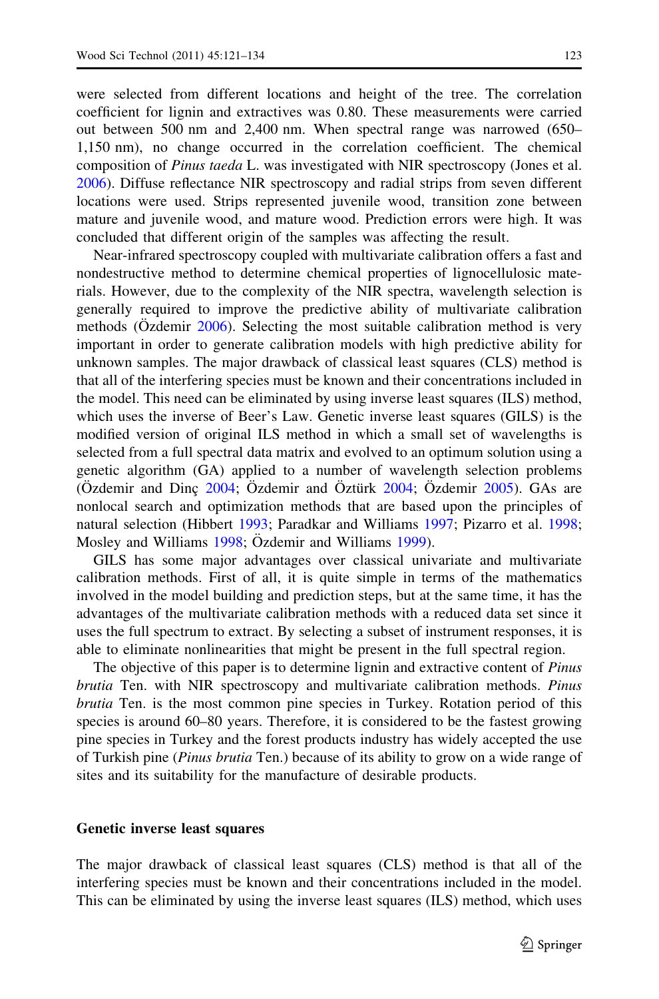were selected from different locations and height of the tree. The correlation coefficient for lignin and extractives was 0.80. These measurements were carried out between 500 nm and 2,400 nm. When spectral range was narrowed (650– 1,150 nm), no change occurred in the correlation coefficient. The chemical composition of Pinus taeda L. was investigated with NIR spectroscopy (Jones et al. [2006\)](#page-12-0). Diffuse reflectance NIR spectroscopy and radial strips from seven different locations were used. Strips represented juvenile wood, transition zone between mature and juvenile wood, and mature wood. Prediction errors were high. It was concluded that different origin of the samples was affecting the result.

Near-infrared spectroscopy coupled with multivariate calibration offers a fast and nondestructive method to determine chemical properties of lignocellulosic materials. However, due to the complexity of the NIR spectra, wavelength selection is generally required to improve the predictive ability of multivariate calibration methods ( $\ddot{\text{O}}$ zdemir [2006\)](#page-13-0). Selecting the most suitable calibration method is very important in order to generate calibration models with high predictive ability for unknown samples. The major drawback of classical least squares (CLS) method is that all of the interfering species must be known and their concentrations included in the model. This need can be eliminated by using inverse least squares (ILS) method, which uses the inverse of Beer's Law. Genetic inverse least squares (GILS) is the modified version of original ILS method in which a small set of wavelengths is selected from a full spectral data matrix and evolved to an optimum solution using a genetic algorithm (GA) applied to a number of wavelength selection problems (Ozdemir and Dinc  $2004$ ; Ozdemir and Oztürk  $2004$ ; Ozdemir  $2005$ ). GAs are nonlocal search and optimization methods that are based upon the principles of natural selection (Hibbert [1993;](#page-12-0) Paradkar and Williams [1997;](#page-13-0) Pizarro et al. [1998;](#page-13-0) Mosley and Williams [1998](#page-13-0); Özdemir and Williams [1999](#page-13-0)).

GILS has some major advantages over classical univariate and multivariate calibration methods. First of all, it is quite simple in terms of the mathematics involved in the model building and prediction steps, but at the same time, it has the advantages of the multivariate calibration methods with a reduced data set since it uses the full spectrum to extract. By selecting a subset of instrument responses, it is able to eliminate nonlinearities that might be present in the full spectral region.

The objective of this paper is to determine lignin and extractive content of *Pinus* brutia Ten. with NIR spectroscopy and multivariate calibration methods. Pinus brutia Ten. is the most common pine species in Turkey. Rotation period of this species is around 60–80 years. Therefore, it is considered to be the fastest growing pine species in Turkey and the forest products industry has widely accepted the use of Turkish pine (Pinus brutia Ten.) because of its ability to grow on a wide range of sites and its suitability for the manufacture of desirable products.

#### Genetic inverse least squares

The major drawback of classical least squares (CLS) method is that all of the interfering species must be known and their concentrations included in the model. This can be eliminated by using the inverse least squares (ILS) method, which uses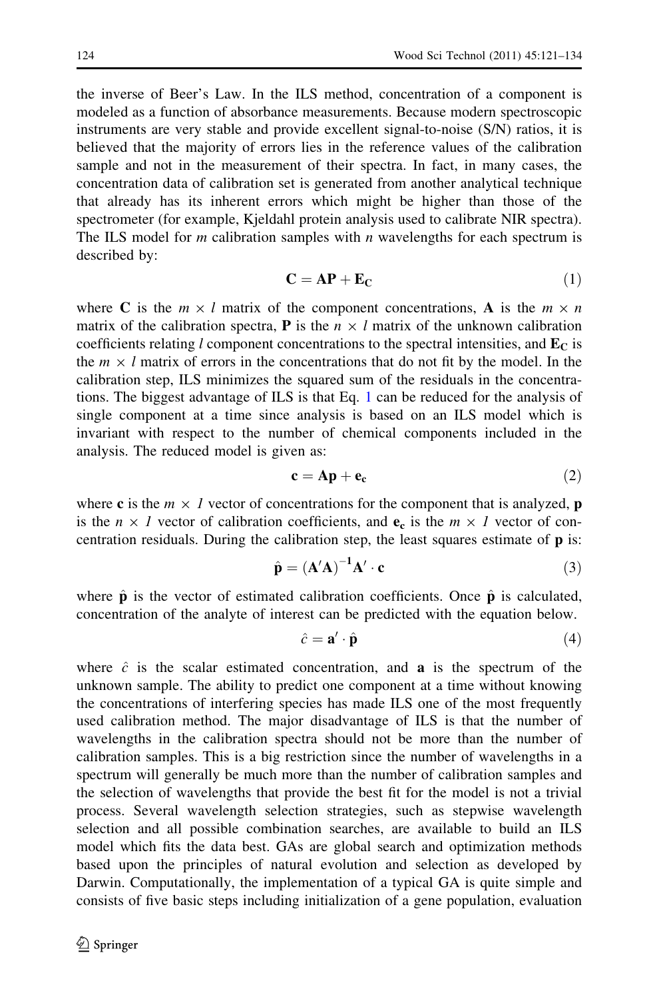the inverse of Beer's Law. In the ILS method, concentration of a component is modeled as a function of absorbance measurements. Because modern spectroscopic instruments are very stable and provide excellent signal-to-noise (S/N) ratios, it is believed that the majority of errors lies in the reference values of the calibration sample and not in the measurement of their spectra. In fact, in many cases, the concentration data of calibration set is generated from another analytical technique that already has its inherent errors which might be higher than those of the spectrometer (for example, Kjeldahl protein analysis used to calibrate NIR spectra). The ILS model for  $m$  calibration samples with  $n$  wavelengths for each spectrum is described by:

$$
\mathbf{C} = \mathbf{A}\mathbf{P} + \mathbf{E}_{\mathbf{C}} \tag{1}
$$

where C is the  $m \times l$  matrix of the component concentrations, A is the  $m \times n$ matrix of the calibration spectra, **P** is the  $n \times l$  matrix of the unknown calibration coefficients relating l component concentrations to the spectral intensities, and  $\mathbf{E}_{\mathbf{C}}$  is the  $m \times l$  matrix of errors in the concentrations that do not fit by the model. In the calibration step, ILS minimizes the squared sum of the residuals in the concentrations. The biggest advantage of ILS is that Eq. 1 can be reduced for the analysis of single component at a time since analysis is based on an ILS model which is invariant with respect to the number of chemical components included in the analysis. The reduced model is given as:

$$
\mathbf{c} = \mathbf{A}\mathbf{p} + \mathbf{e}_{\mathbf{c}} \tag{2}
$$

where c is the  $m \times 1$  vector of concentrations for the component that is analyzed, p is the  $n \times 1$  vector of calibration coefficients, and  $e_c$  is the  $m \times 1$  vector of concentration residuals. During the calibration step, the least squares estimate of  $\bf{p}$  is:

$$
\hat{\mathbf{p}} = \left(\mathbf{A}'\mathbf{A}\right)^{-1}\mathbf{A}' \cdot \mathbf{c} \tag{3}
$$

where  $\hat{\mathbf{p}}$  is the vector of estimated calibration coefficients. Once  $\hat{\mathbf{p}}$  is calculated, concentration of the analyte of interest can be predicted with the equation below.

$$
\hat{c} = \mathbf{a}' \cdot \hat{\mathbf{p}} \tag{4}
$$

where  $\hat{c}$  is the scalar estimated concentration, and **a** is the spectrum of the unknown sample. The ability to predict one component at a time without knowing the concentrations of interfering species has made ILS one of the most frequently used calibration method. The major disadvantage of ILS is that the number of wavelengths in the calibration spectra should not be more than the number of calibration samples. This is a big restriction since the number of wavelengths in a spectrum will generally be much more than the number of calibration samples and the selection of wavelengths that provide the best fit for the model is not a trivial process. Several wavelength selection strategies, such as stepwise wavelength selection and all possible combination searches, are available to build an ILS model which fits the data best. GAs are global search and optimization methods based upon the principles of natural evolution and selection as developed by Darwin. Computationally, the implementation of a typical GA is quite simple and consists of five basic steps including initialization of a gene population, evaluation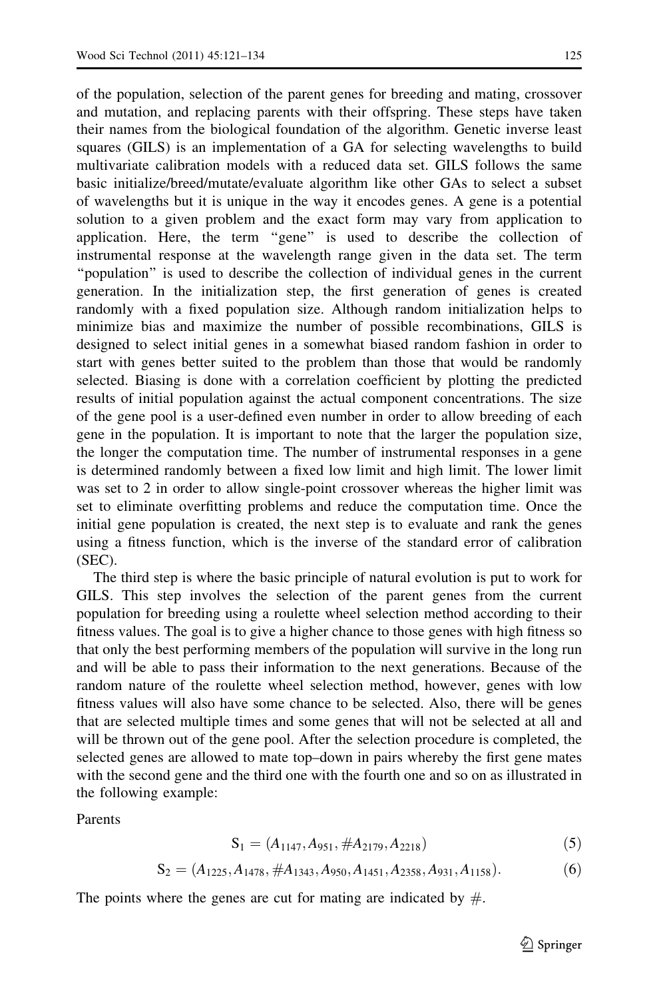of the population, selection of the parent genes for breeding and mating, crossover and mutation, and replacing parents with their offspring. These steps have taken their names from the biological foundation of the algorithm. Genetic inverse least squares (GILS) is an implementation of a GA for selecting wavelengths to build multivariate calibration models with a reduced data set. GILS follows the same basic initialize/breed/mutate/evaluate algorithm like other GAs to select a subset of wavelengths but it is unique in the way it encodes genes. A gene is a potential solution to a given problem and the exact form may vary from application to application. Here, the term ''gene'' is used to describe the collection of instrumental response at the wavelength range given in the data set. The term "population" is used to describe the collection of individual genes in the current generation. In the initialization step, the first generation of genes is created randomly with a fixed population size. Although random initialization helps to minimize bias and maximize the number of possible recombinations, GILS is designed to select initial genes in a somewhat biased random fashion in order to start with genes better suited to the problem than those that would be randomly selected. Biasing is done with a correlation coefficient by plotting the predicted results of initial population against the actual component concentrations. The size of the gene pool is a user-defined even number in order to allow breeding of each gene in the population. It is important to note that the larger the population size, the longer the computation time. The number of instrumental responses in a gene is determined randomly between a fixed low limit and high limit. The lower limit was set to 2 in order to allow single-point crossover whereas the higher limit was set to eliminate overfitting problems and reduce the computation time. Once the initial gene population is created, the next step is to evaluate and rank the genes using a fitness function, which is the inverse of the standard error of calibration (SEC).

The third step is where the basic principle of natural evolution is put to work for GILS. This step involves the selection of the parent genes from the current population for breeding using a roulette wheel selection method according to their fitness values. The goal is to give a higher chance to those genes with high fitness so that only the best performing members of the population will survive in the long run and will be able to pass their information to the next generations. Because of the random nature of the roulette wheel selection method, however, genes with low fitness values will also have some chance to be selected. Also, there will be genes that are selected multiple times and some genes that will not be selected at all and will be thrown out of the gene pool. After the selection procedure is completed, the selected genes are allowed to mate top–down in pairs whereby the first gene mates with the second gene and the third one with the fourth one and so on as illustrated in the following example:

Parents

$$
S_1 = (A_{1147}, A_{951}, \#A_{2179}, A_{2218})
$$
\n<sup>(5)</sup>

$$
S_2 = (A_{1225}, A_{1478}, \#A_{1343}, A_{950}, A_{1451}, A_{2358}, A_{931}, A_{1158}).
$$
 (6)

The points where the genes are cut for mating are indicated by  $#$ .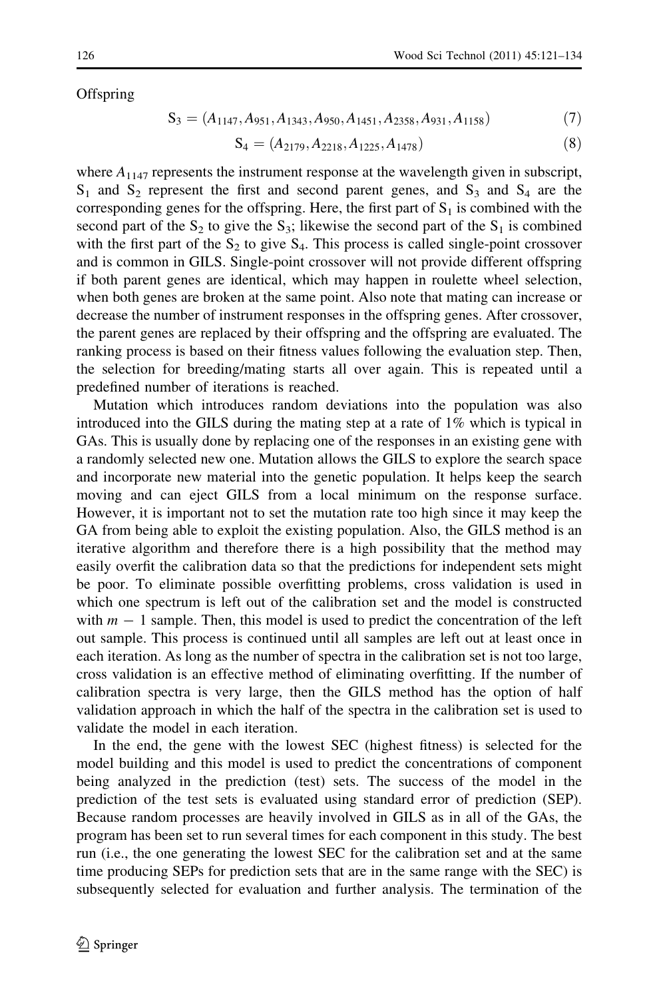**Offspring** 

$$
S_3 = (A_{1147}, A_{951}, A_{1343}, A_{950}, A_{1451}, A_{2358}, A_{931}, A_{1158})
$$
(7)

$$
S_4 = (A_{2179}, A_{2218}, A_{1225}, A_{1478})
$$
\n(8)

where  $A_{1147}$  represents the instrument response at the wavelength given in subscript,  $S_1$  and  $S_2$  represent the first and second parent genes, and  $S_3$  and  $S_4$  are the corresponding genes for the offspring. Here, the first part of  $S_1$  is combined with the second part of the  $S_2$  to give the  $S_3$ ; likewise the second part of the  $S_1$  is combined with the first part of the  $S_2$  to give  $S_4$ . This process is called single-point crossover and is common in GILS. Single-point crossover will not provide different offspring if both parent genes are identical, which may happen in roulette wheel selection, when both genes are broken at the same point. Also note that mating can increase or decrease the number of instrument responses in the offspring genes. After crossover, the parent genes are replaced by their offspring and the offspring are evaluated. The ranking process is based on their fitness values following the evaluation step. Then, the selection for breeding/mating starts all over again. This is repeated until a predefined number of iterations is reached.

Mutation which introduces random deviations into the population was also introduced into the GILS during the mating step at a rate of 1% which is typical in GAs. This is usually done by replacing one of the responses in an existing gene with a randomly selected new one. Mutation allows the GILS to explore the search space and incorporate new material into the genetic population. It helps keep the search moving and can eject GILS from a local minimum on the response surface. However, it is important not to set the mutation rate too high since it may keep the GA from being able to exploit the existing population. Also, the GILS method is an iterative algorithm and therefore there is a high possibility that the method may easily overfit the calibration data so that the predictions for independent sets might be poor. To eliminate possible overfitting problems, cross validation is used in which one spectrum is left out of the calibration set and the model is constructed with  $m - 1$  sample. Then, this model is used to predict the concentration of the left out sample. This process is continued until all samples are left out at least once in each iteration. As long as the number of spectra in the calibration set is not too large, cross validation is an effective method of eliminating overfitting. If the number of calibration spectra is very large, then the GILS method has the option of half validation approach in which the half of the spectra in the calibration set is used to validate the model in each iteration.

In the end, the gene with the lowest SEC (highest fitness) is selected for the model building and this model is used to predict the concentrations of component being analyzed in the prediction (test) sets. The success of the model in the prediction of the test sets is evaluated using standard error of prediction (SEP). Because random processes are heavily involved in GILS as in all of the GAs, the program has been set to run several times for each component in this study. The best run (i.e., the one generating the lowest SEC for the calibration set and at the same time producing SEPs for prediction sets that are in the same range with the SEC) is subsequently selected for evaluation and further analysis. The termination of the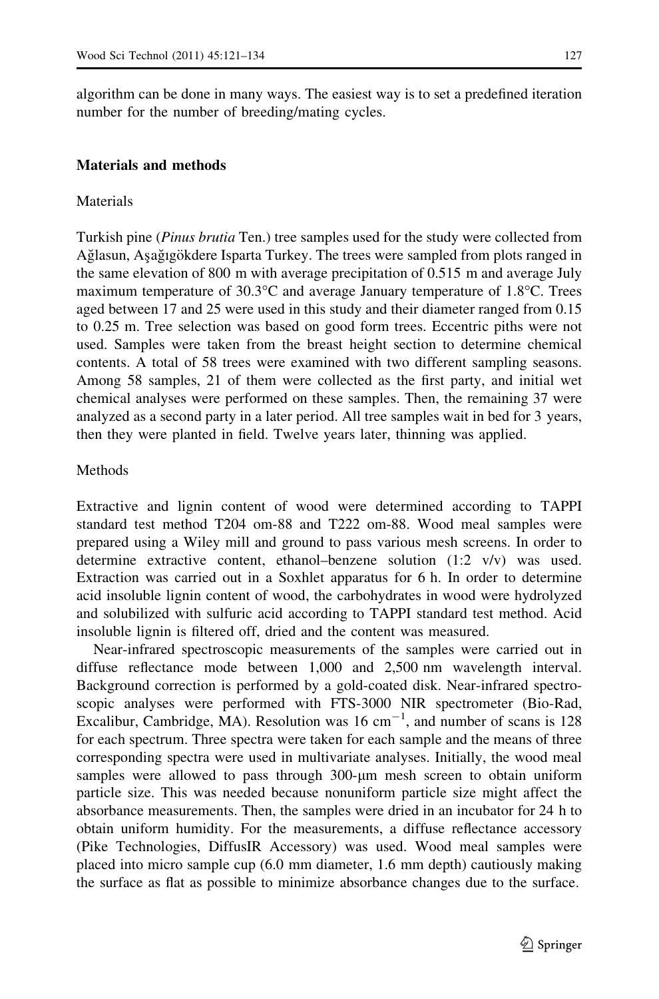algorithm can be done in many ways. The easiest way is to set a predefined iteration number for the number of breeding/mating cycles.

#### Materials and methods

#### Materials

Turkish pine (Pinus brutia Ten.) tree samples used for the study were collected from Ağlasun, Aşağıgökdere Isparta Turkey. The trees were sampled from plots ranged in the same elevation of 800 m with average precipitation of 0.515 m and average July maximum temperature of  $30.3^{\circ}$ C and average January temperature of  $1.8^{\circ}$ C. Trees aged between 17 and 25 were used in this study and their diameter ranged from 0.15 to 0.25 m. Tree selection was based on good form trees. Eccentric piths were not used. Samples were taken from the breast height section to determine chemical contents. A total of 58 trees were examined with two different sampling seasons. Among 58 samples, 21 of them were collected as the first party, and initial wet chemical analyses were performed on these samples. Then, the remaining 37 were analyzed as a second party in a later period. All tree samples wait in bed for 3 years, then they were planted in field. Twelve years later, thinning was applied.

### Methods

Extractive and lignin content of wood were determined according to TAPPI standard test method T204 om-88 and T222 om-88. Wood meal samples were prepared using a Wiley mill and ground to pass various mesh screens. In order to determine extractive content, ethanol–benzene solution (1:2 v/v) was used. Extraction was carried out in a Soxhlet apparatus for 6 h. In order to determine acid insoluble lignin content of wood, the carbohydrates in wood were hydrolyzed and solubilized with sulfuric acid according to TAPPI standard test method. Acid insoluble lignin is filtered off, dried and the content was measured.

Near-infrared spectroscopic measurements of the samples were carried out in diffuse reflectance mode between 1,000 and 2,500 nm wavelength interval. Background correction is performed by a gold-coated disk. Near-infrared spectroscopic analyses were performed with FTS-3000 NIR spectrometer (Bio-Rad, Excalibur, Cambridge, MA). Resolution was  $16 \text{ cm}^{-1}$ , and number of scans is 128 for each spectrum. Three spectra were taken for each sample and the means of three corresponding spectra were used in multivariate analyses. Initially, the wood meal samples were allowed to pass through 300-µm mesh screen to obtain uniform particle size. This was needed because nonuniform particle size might affect the absorbance measurements. Then, the samples were dried in an incubator for 24 h to obtain uniform humidity. For the measurements, a diffuse reflectance accessory (Pike Technologies, DiffusIR Accessory) was used. Wood meal samples were placed into micro sample cup (6.0 mm diameter, 1.6 mm depth) cautiously making the surface as flat as possible to minimize absorbance changes due to the surface.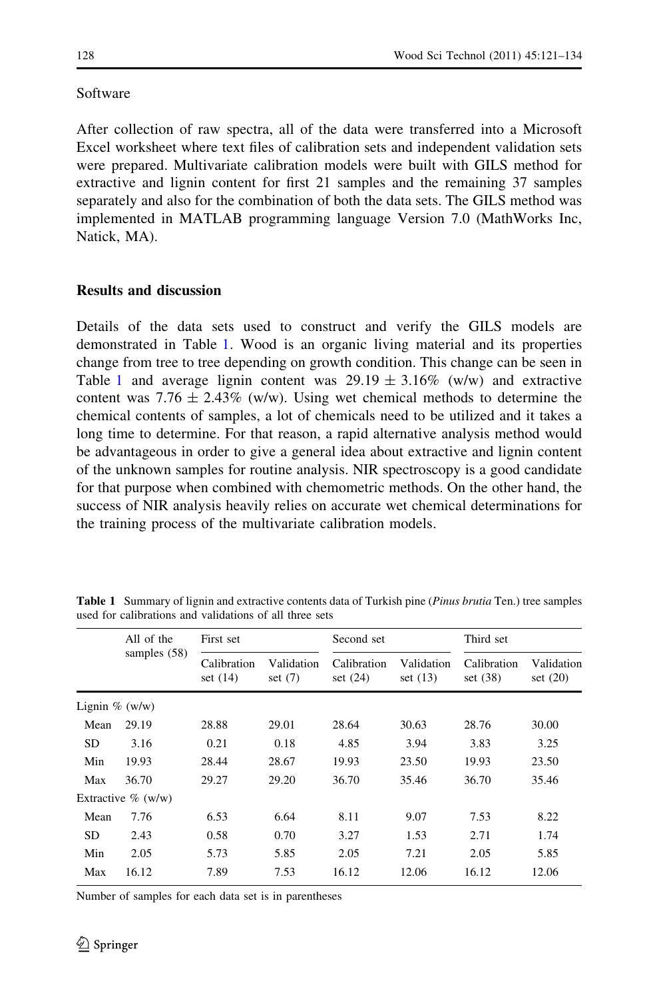## <span id="page-7-0"></span>Software

After collection of raw spectra, all of the data were transferred into a Microsoft Excel worksheet where text files of calibration sets and independent validation sets were prepared. Multivariate calibration models were built with GILS method for extractive and lignin content for first 21 samples and the remaining 37 samples separately and also for the combination of both the data sets. The GILS method was implemented in MATLAB programming language Version 7.0 (MathWorks Inc, Natick, MA).

# Results and discussion

Details of the data sets used to construct and verify the GILS models are demonstrated in Table 1. Wood is an organic living material and its properties change from tree to tree depending on growth condition. This change can be seen in Table 1 and average lignin content was  $29.19 \pm 3.16\%$  (w/w) and extractive content was 7.76  $\pm$  2.43% (w/w). Using wet chemical methods to determine the chemical contents of samples, a lot of chemicals need to be utilized and it takes a long time to determine. For that reason, a rapid alternative analysis method would be advantageous in order to give a general idea about extractive and lignin content of the unknown samples for routine analysis. NIR spectroscopy is a good candidate for that purpose when combined with chemometric methods. On the other hand, the success of NIR analysis heavily relies on accurate wet chemical determinations for the training process of the multivariate calibration models.

|                   | All of the<br>samples $(58)$ | First set                 |                         | Second set                |                          | Third set                 |                          |
|-------------------|------------------------------|---------------------------|-------------------------|---------------------------|--------------------------|---------------------------|--------------------------|
|                   |                              | Calibration<br>set $(14)$ | Validation<br>set $(7)$ | Calibration<br>set $(24)$ | Validation<br>set $(13)$ | Calibration<br>set $(38)$ | Validation<br>set $(20)$ |
| Lignin $\%$ (w/w) |                              |                           |                         |                           |                          |                           |                          |
| Mean              | 29.19                        | 28.88                     | 29.01                   | 28.64                     | 30.63                    | 28.76                     | 30.00                    |
| <b>SD</b>         | 3.16                         | 0.21                      | 0.18                    | 4.85                      | 3.94                     | 3.83                      | 3.25                     |
| Min               | 19.93                        | 28.44                     | 28.67                   | 19.93                     | 23.50                    | 19.93                     | 23.50                    |
| Max               | 36.70                        | 29.27                     | 29.20                   | 36.70                     | 35.46                    | 36.70                     | 35.46                    |
|                   | Extractive $\%$ (w/w)        |                           |                         |                           |                          |                           |                          |
| Mean              | 7.76                         | 6.53                      | 6.64                    | 8.11                      | 9.07                     | 7.53                      | 8.22                     |
| <b>SD</b>         | 2.43                         | 0.58                      | 0.70                    | 3.27                      | 1.53                     | 2.71                      | 1.74                     |
| Min               | 2.05                         | 5.73                      | 5.85                    | 2.05                      | 7.21                     | 2.05                      | 5.85                     |
| Max               | 16.12                        | 7.89                      | 7.53                    | 16.12                     | 12.06                    | 16.12                     | 12.06                    |

Table 1 Summary of lignin and extractive contents data of Turkish pine (Pinus brutia Ten.) tree samples used for calibrations and validations of all three sets

Number of samples for each data set is in parentheses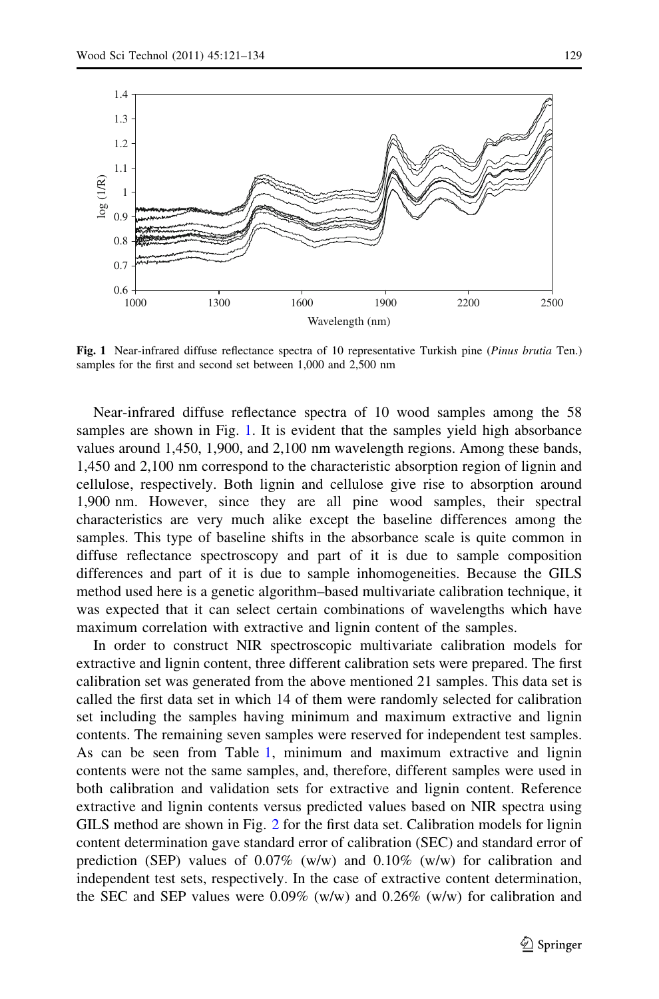

Fig. 1 Near-infrared diffuse reflectance spectra of 10 representative Turkish pine (Pinus brutia Ten.) samples for the first and second set between 1,000 and 2,500 nm

Near-infrared diffuse reflectance spectra of 10 wood samples among the 58 samples are shown in Fig. 1. It is evident that the samples yield high absorbance values around 1,450, 1,900, and 2,100 nm wavelength regions. Among these bands, 1,450 and 2,100 nm correspond to the characteristic absorption region of lignin and cellulose, respectively. Both lignin and cellulose give rise to absorption around 1,900 nm. However, since they are all pine wood samples, their spectral characteristics are very much alike except the baseline differences among the samples. This type of baseline shifts in the absorbance scale is quite common in diffuse reflectance spectroscopy and part of it is due to sample composition differences and part of it is due to sample inhomogeneities. Because the GILS method used here is a genetic algorithm–based multivariate calibration technique, it was expected that it can select certain combinations of wavelengths which have maximum correlation with extractive and lignin content of the samples.

In order to construct NIR spectroscopic multivariate calibration models for extractive and lignin content, three different calibration sets were prepared. The first calibration set was generated from the above mentioned 21 samples. This data set is called the first data set in which 14 of them were randomly selected for calibration set including the samples having minimum and maximum extractive and lignin contents. The remaining seven samples were reserved for independent test samples. As can be seen from Table [1](#page-7-0), minimum and maximum extractive and lignin contents were not the same samples, and, therefore, different samples were used in both calibration and validation sets for extractive and lignin content. Reference extractive and lignin contents versus predicted values based on NIR spectra using GILS method are shown in Fig. [2](#page-9-0) for the first data set. Calibration models for lignin content determination gave standard error of calibration (SEC) and standard error of prediction (SEP) values of  $0.07\%$  (w/w) and  $0.10\%$  (w/w) for calibration and independent test sets, respectively. In the case of extractive content determination, the SEC and SEP values were  $0.09\%$  (w/w) and  $0.26\%$  (w/w) for calibration and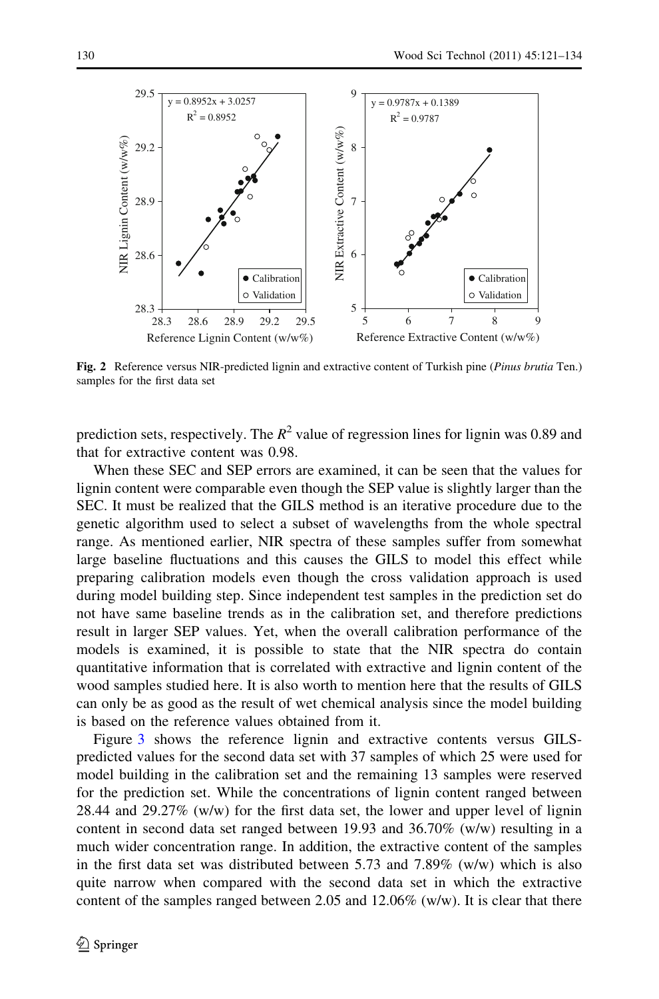<span id="page-9-0"></span>

Fig. 2 Reference versus NIR-predicted lignin and extractive content of Turkish pine (*Pinus brutia* Ten.) samples for the first data set

prediction sets, respectively. The  $R^2$  value of regression lines for lignin was 0.89 and that for extractive content was 0.98.

When these SEC and SEP errors are examined, it can be seen that the values for lignin content were comparable even though the SEP value is slightly larger than the SEC. It must be realized that the GILS method is an iterative procedure due to the genetic algorithm used to select a subset of wavelengths from the whole spectral range. As mentioned earlier, NIR spectra of these samples suffer from somewhat large baseline fluctuations and this causes the GILS to model this effect while preparing calibration models even though the cross validation approach is used during model building step. Since independent test samples in the prediction set do not have same baseline trends as in the calibration set, and therefore predictions result in larger SEP values. Yet, when the overall calibration performance of the models is examined, it is possible to state that the NIR spectra do contain quantitative information that is correlated with extractive and lignin content of the wood samples studied here. It is also worth to mention here that the results of GILS can only be as good as the result of wet chemical analysis since the model building is based on the reference values obtained from it.

Figure [3](#page-10-0) shows the reference lignin and extractive contents versus GILSpredicted values for the second data set with 37 samples of which 25 were used for model building in the calibration set and the remaining 13 samples were reserved for the prediction set. While the concentrations of lignin content ranged between 28.44 and 29.27% (w/w) for the first data set, the lower and upper level of lignin content in second data set ranged between 19.93 and 36.70% (w/w) resulting in a much wider concentration range. In addition, the extractive content of the samples in the first data set was distributed between 5.73 and 7.89% (w/w) which is also quite narrow when compared with the second data set in which the extractive content of the samples ranged between 2.05 and  $12.06\%$  (w/w). It is clear that there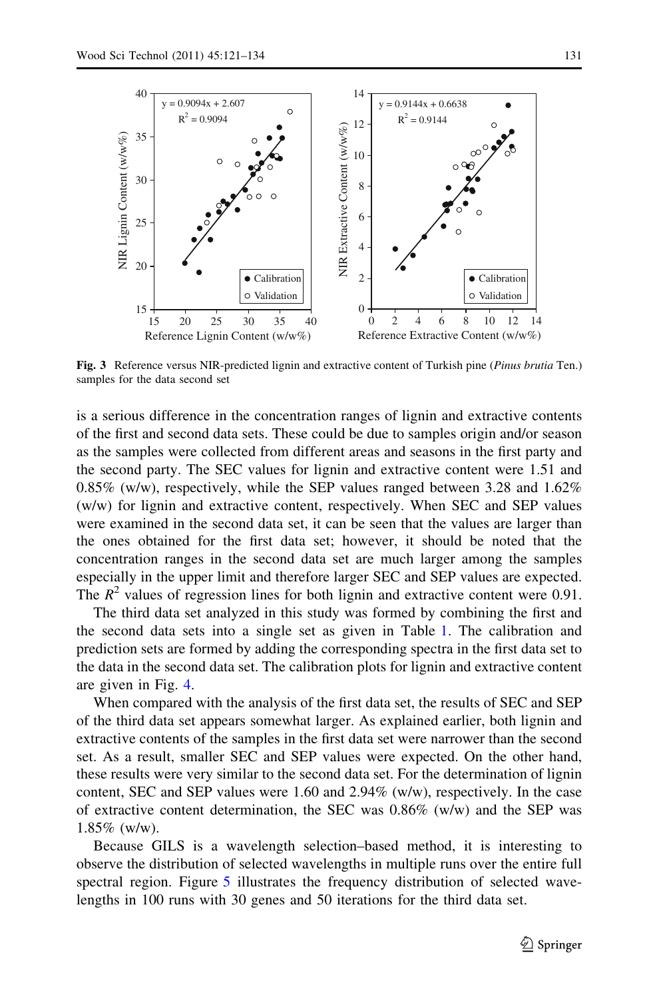<span id="page-10-0"></span>

Fig. 3 Reference versus NIR-predicted lignin and extractive content of Turkish pine (Pinus brutia Ten.) samples for the data second set

is a serious difference in the concentration ranges of lignin and extractive contents of the first and second data sets. These could be due to samples origin and/or season as the samples were collected from different areas and seasons in the first party and the second party. The SEC values for lignin and extractive content were 1.51 and 0.85% (w/w), respectively, while the SEP values ranged between 3.28 and 1.62% (w/w) for lignin and extractive content, respectively. When SEC and SEP values were examined in the second data set, it can be seen that the values are larger than the ones obtained for the first data set; however, it should be noted that the concentration ranges in the second data set are much larger among the samples especially in the upper limit and therefore larger SEC and SEP values are expected. The  $R^2$  values of regression lines for both lignin and extractive content were 0.91.

The third data set analyzed in this study was formed by combining the first and the second data sets into a single set as given in Table [1.](#page-7-0) The calibration and prediction sets are formed by adding the corresponding spectra in the first data set to the data in the second data set. The calibration plots for lignin and extractive content are given in Fig. [4](#page-11-0).

When compared with the analysis of the first data set, the results of SEC and SEP of the third data set appears somewhat larger. As explained earlier, both lignin and extractive contents of the samples in the first data set were narrower than the second set. As a result, smaller SEC and SEP values were expected. On the other hand, these results were very similar to the second data set. For the determination of lignin content, SEC and SEP values were 1.60 and 2.94% (w/w), respectively. In the case of extractive content determination, the SEC was  $0.86\%$  (w/w) and the SEP was 1.85% (w/w).

Because GILS is a wavelength selection–based method, it is interesting to observe the distribution of selected wavelengths in multiple runs over the entire full spectral region. Figure [5](#page-11-0) illustrates the frequency distribution of selected wavelengths in 100 runs with 30 genes and 50 iterations for the third data set.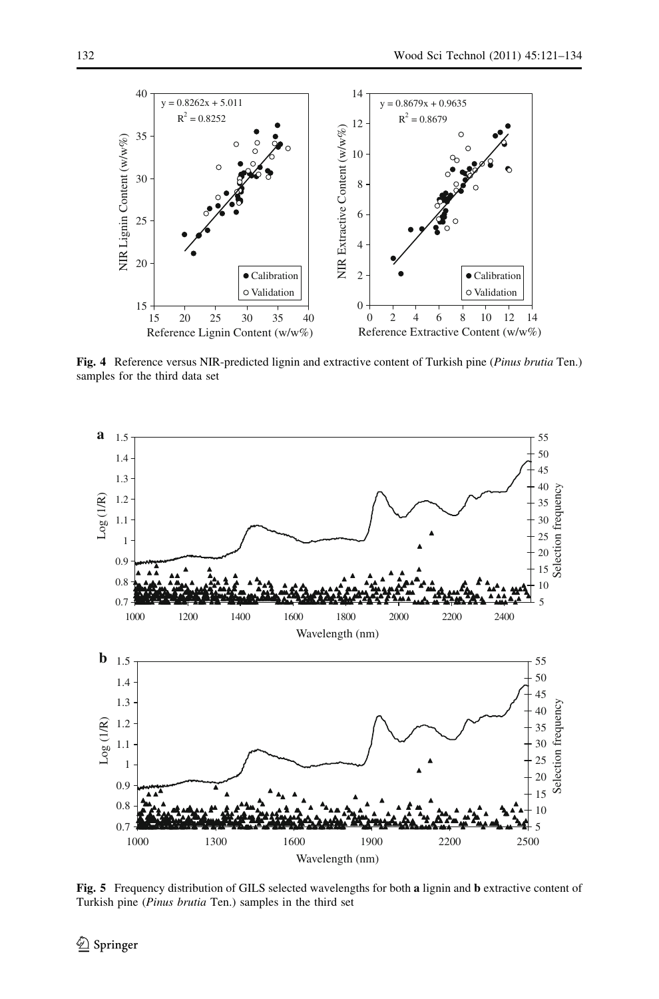<span id="page-11-0"></span>

Fig. 4 Reference versus NIR-predicted lignin and extractive content of Turkish pine (Pinus brutia Ten.) samples for the third data set



Fig. 5 Frequency distribution of GILS selected wavelengths for both a lignin and b extractive content of Turkish pine (Pinus brutia Ten.) samples in the third set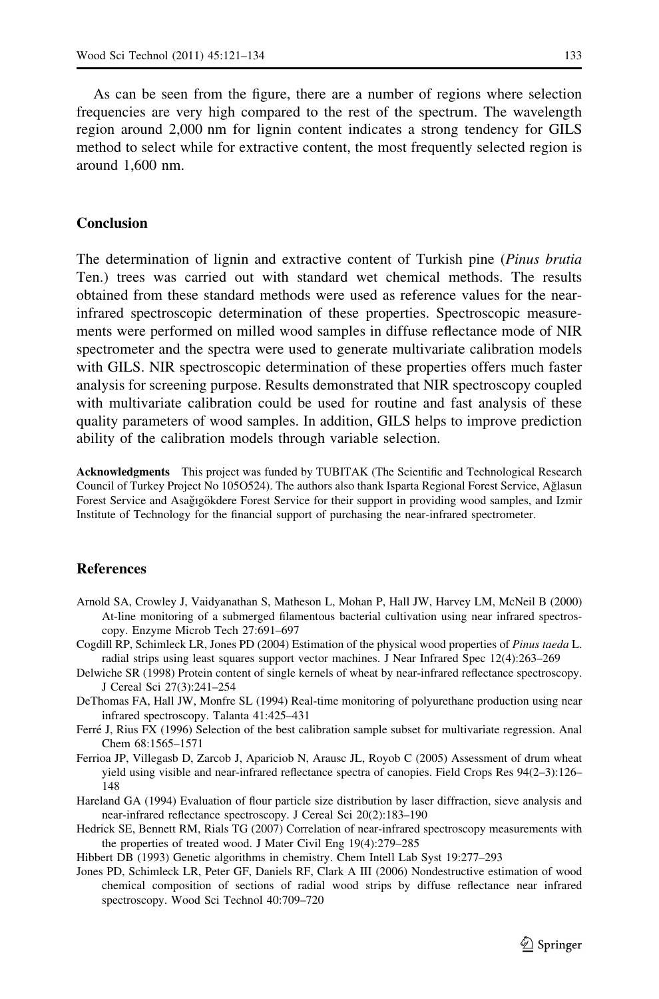<span id="page-12-0"></span>As can be seen from the figure, there are a number of regions where selection frequencies are very high compared to the rest of the spectrum. The wavelength region around 2,000 nm for lignin content indicates a strong tendency for GILS method to select while for extractive content, the most frequently selected region is around 1,600 nm.

#### Conclusion

The determination of lignin and extractive content of Turkish pine (Pinus brutia Ten.) trees was carried out with standard wet chemical methods. The results obtained from these standard methods were used as reference values for the nearinfrared spectroscopic determination of these properties. Spectroscopic measurements were performed on milled wood samples in diffuse reflectance mode of NIR spectrometer and the spectra were used to generate multivariate calibration models with GILS. NIR spectroscopic determination of these properties offers much faster analysis for screening purpose. Results demonstrated that NIR spectroscopy coupled with multivariate calibration could be used for routine and fast analysis of these quality parameters of wood samples. In addition, GILS helps to improve prediction ability of the calibration models through variable selection.

Acknowledgments This project was funded by TUBITAK (The Scientific and Technological Research Council of Turkey Project No 105O524). The authors also thank Isparta Regional Forest Service, Ağlasun Forest Service and Asağıgökdere Forest Service for their support in providing wood samples, and Izmir Institute of Technology for the financial support of purchasing the near-infrared spectrometer.

#### References

- Arnold SA, Crowley J, Vaidyanathan S, Matheson L, Mohan P, Hall JW, Harvey LM, McNeil B (2000) At-line monitoring of a submerged filamentous bacterial cultivation using near infrared spectroscopy. Enzyme Microb Tech 27:691–697
- Cogdill RP, Schimleck LR, Jones PD (2004) Estimation of the physical wood properties of Pinus taeda L. radial strips using least squares support vector machines. J Near Infrared Spec 12(4):263–269
- Delwiche SR (1998) Protein content of single kernels of wheat by near-infrared reflectance spectroscopy. J Cereal Sci 27(3):241–254
- DeThomas FA, Hall JW, Monfre SL (1994) Real-time monitoring of polyurethane production using near infrared spectroscopy. Talanta 41:425–431
- Ferré J, Rius FX (1996) Selection of the best calibration sample subset for multivariate regression. Anal Chem 68:1565–1571
- Ferrioa JP, Villegasb D, Zarcob J, Apariciob N, Arausc JL, Royob C (2005) Assessment of drum wheat yield using visible and near-infrared reflectance spectra of canopies. Field Crops Res 94(2–3):126– 148
- Hareland GA (1994) Evaluation of flour particle size distribution by laser diffraction, sieve analysis and near-infrared reflectance spectroscopy. J Cereal Sci 20(2):183–190
- Hedrick SE, Bennett RM, Rials TG (2007) Correlation of near-infrared spectroscopy measurements with the properties of treated wood. J Mater Civil Eng 19(4):279–285
- Hibbert DB (1993) Genetic algorithms in chemistry. Chem Intell Lab Syst 19:277–293
- Jones PD, Schimleck LR, Peter GF, Daniels RF, Clark A III (2006) Nondestructive estimation of wood chemical composition of sections of radial wood strips by diffuse reflectance near infrared spectroscopy. Wood Sci Technol 40:709–720